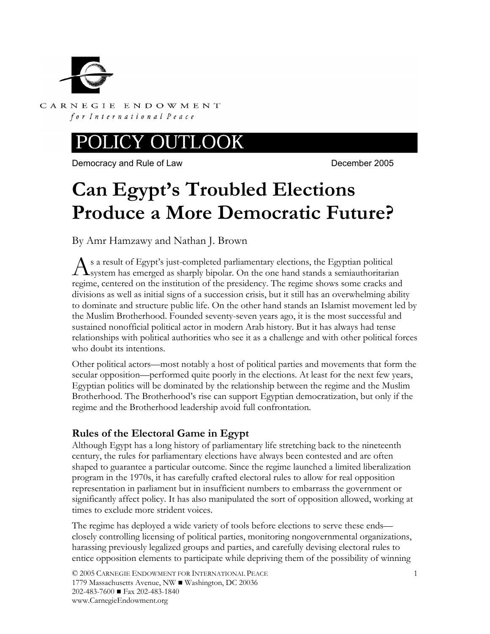

CARNEGIE ENDOWMENT for International Peace

#### EY OUTI JOOK

Democracy and Rule of Law December 2005

# **Can Egypt's Troubled Elections Produce a More Democratic Future?**

By Amr Hamzawy and Nathan J. Brown

s a result of Egypt's just-completed parliamentary elections, the Egyptian political As a result of Egypt's just-completed parliamentary elections, the Egyptian political<br>System has emerged as sharply bipolar. On the one hand stands a semiauthoritarian regime, centered on the institution of the presidency. The regime shows some cracks and divisions as well as initial signs of a succession crisis, but it still has an overwhelming ability to dominate and structure public life. On the other hand stands an Islamist movement led by the Muslim Brotherhood. Founded seventy-seven years ago, it is the most successful and sustained nonofficial political actor in modern Arab history. But it has always had tense relationships with political authorities who see it as a challenge and with other political forces who doubt its intentions.

Other political actors—most notably a host of political parties and movements that form the secular opposition—performed quite poorly in the elections. At least for the next few years, Egyptian politics will be dominated by the relationship between the regime and the Muslim Brotherhood. The Brotherhood's rise can support Egyptian democratization, but only if the regime and the Brotherhood leadership avoid full confrontation.

## **Rules of the Electoral Game in Egypt**

Although Egypt has a long history of parliamentary life stretching back to the nineteenth century, the rules for parliamentary elections have always been contested and are often shaped to guarantee a particular outcome. Since the regime launched a limited liberalization program in the 1970s, it has carefully crafted electoral rules to allow for real opposition representation in parliament but in insufficient numbers to embarrass the government or significantly affect policy. It has also manipulated the sort of opposition allowed, working at times to exclude more strident voices.

The regime has deployed a wide variety of tools before elections to serve these ends closely controlling licensing of political parties, monitoring nongovernmental organizations, harassing previously legalized groups and parties, and carefully devising electoral rules to entice opposition elements to participate while depriving them of the possibility of winning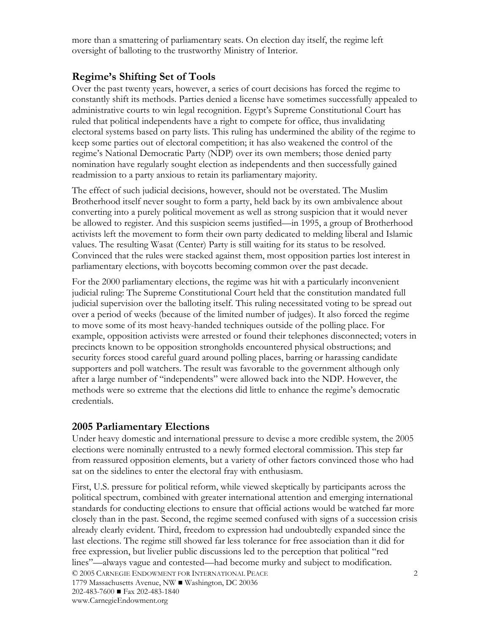more than a smattering of parliamentary seats. On election day itself, the regime left oversight of balloting to the trustworthy Ministry of Interior.

## **Regime's Shifting Set of Tools**

Over the past twenty years, however, a series of court decisions has forced the regime to constantly shift its methods. Parties denied a license have sometimes successfully appealed to administrative courts to win legal recognition. Egypt's Supreme Constitutional Court has ruled that political independents have a right to compete for office, thus invalidating electoral systems based on party lists. This ruling has undermined the ability of the regime to keep some parties out of electoral competition; it has also weakened the control of the regime's National Democratic Party (NDP) over its own members; those denied party nomination have regularly sought election as independents and then successfully gained readmission to a party anxious to retain its parliamentary majority.

The effect of such judicial decisions, however, should not be overstated. The Muslim Brotherhood itself never sought to form a party, held back by its own ambivalence about converting into a purely political movement as well as strong suspicion that it would never be allowed to register. And this suspicion seems justified—in 1995, a group of Brotherhood activists left the movement to form their own party dedicated to melding liberal and Islamic values. The resulting Wasat (Center) Party is still waiting for its status to be resolved. Convinced that the rules were stacked against them, most opposition parties lost interest in parliamentary elections, with boycotts becoming common over the past decade.

For the 2000 parliamentary elections, the regime was hit with a particularly inconvenient judicial ruling: The Supreme Constitutional Court held that the constitution mandated full judicial supervision over the balloting itself. This ruling necessitated voting to be spread out over a period of weeks (because of the limited number of judges). It also forced the regime to move some of its most heavy-handed techniques outside of the polling place. For example, opposition activists were arrested or found their telephones disconnected; voters in precincts known to be opposition strongholds encountered physical obstructions; and security forces stood careful guard around polling places, barring or harassing candidate supporters and poll watchers. The result was favorable to the government although only after a large number of "independents" were allowed back into the NDP. However, the methods were so extreme that the elections did little to enhance the regime's democratic credentials.

#### **2005 Parliamentary Elections**

Under heavy domestic and international pressure to devise a more credible system, the 2005 elections were nominally entrusted to a newly formed electoral commission. This step far from reassured opposition elements, but a variety of other factors convinced those who had sat on the sidelines to enter the electoral fray with enthusiasm.

© 2005 CARNEGIE ENDOWMENT FOR INTERNATIONAL PEACE 1779 Massachusetts Avenue, NW ■ Washington, DC 20036 202-483-7600 ■ Fax 202-483-1840 www.CarnegieEndowment.org 2 First, U.S. pressure for political reform, while viewed skeptically by participants across the political spectrum, combined with greater international attention and emerging international standards for conducting elections to ensure that official actions would be watched far more closely than in the past. Second, the regime seemed confused with signs of a succession crisis already clearly evident. Third, freedom to expression had undoubtedly expanded since the last elections. The regime still showed far less tolerance for free association than it did for free expression, but livelier public discussions led to the perception that political "red lines"—always vague and contested—had become murky and subject to modification.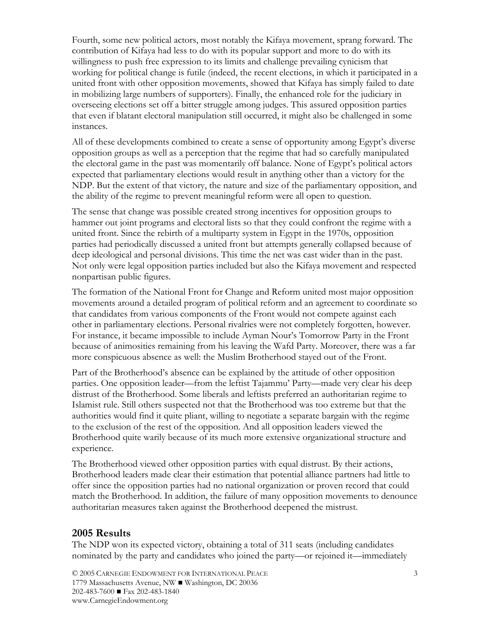Fourth, some new political actors, most notably the Kifaya movement, sprang forward. The contribution of Kifaya had less to do with its popular support and more to do with its willingness to push free expression to its limits and challenge prevailing cynicism that working for political change is futile (indeed, the recent elections, in which it participated in a united front with other opposition movements, showed that Kifaya has simply failed to date in mobilizing large numbers of supporters). Finally, the enhanced role for the judiciary in overseeing elections set off a bitter struggle among judges. This assured opposition parties that even if blatant electoral manipulation still occurred, it might also be challenged in some instances.

All of these developments combined to create a sense of opportunity among Egypt's diverse opposition groups as well as a perception that the regime that had so carefully manipulated the electoral game in the past was momentarily off balance. None of Egypt's political actors expected that parliamentary elections would result in anything other than a victory for the NDP. But the extent of that victory, the nature and size of the parliamentary opposition, and the ability of the regime to prevent meaningful reform were all open to question.

The sense that change was possible created strong incentives for opposition groups to hammer out joint programs and electoral lists so that they could confront the regime with a united front. Since the rebirth of a multiparty system in Egypt in the 1970s, opposition parties had periodically discussed a united front but attempts generally collapsed because of deep ideological and personal divisions. This time the net was cast wider than in the past. Not only were legal opposition parties included but also the Kifaya movement and respected nonpartisan public figures.

The formation of the National Front for Change and Reform united most major opposition movements around a detailed program of political reform and an agreement to coordinate so that candidates from various components of the Front would not compete against each other in parliamentary elections. Personal rivalries were not completely forgotten, however. For instance, it became impossible to include Ayman Nour's Tomorrow Party in the Front because of animosities remaining from his leaving the Wafd Party. Moreover, there was a far more conspicuous absence as well: the Muslim Brotherhood stayed out of the Front.

Part of the Brotherhood's absence can be explained by the attitude of other opposition parties. One opposition leader—from the leftist Tajammu' Party—made very clear his deep distrust of the Brotherhood. Some liberals and leftists preferred an authoritarian regime to Islamist rule. Still others suspected not that the Brotherhood was too extreme but that the authorities would find it quite pliant, willing to negotiate a separate bargain with the regime to the exclusion of the rest of the opposition. And all opposition leaders viewed the Brotherhood quite warily because of its much more extensive organizational structure and experience.

The Brotherhood viewed other opposition parties with equal distrust. By their actions, Brotherhood leaders made clear their estimation that potential alliance partners had little to offer since the opposition parties had no national organization or proven record that could match the Brotherhood. In addition, the failure of many opposition movements to denounce authoritarian measures taken against the Brotherhood deepened the mistrust.

#### **2005 Results**

The NDP won its expected victory, obtaining a total of 311 seats (including candidates nominated by the party and candidates who joined the party—or rejoined it—immediately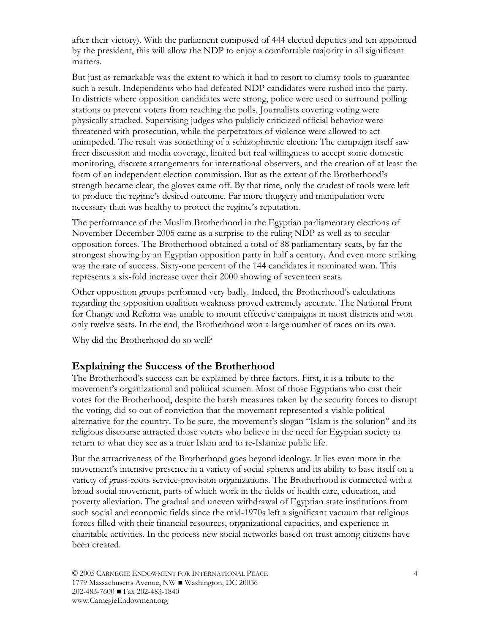after their victory). With the parliament composed of 444 elected deputies and ten appointed by the president, this will allow the NDP to enjoy a comfortable majority in all significant matters.

But just as remarkable was the extent to which it had to resort to clumsy tools to guarantee such a result. Independents who had defeated NDP candidates were rushed into the party. In districts where opposition candidates were strong, police were used to surround polling stations to prevent voters from reaching the polls. Journalists covering voting were physically attacked. Supervising judges who publicly criticized official behavior were threatened with prosecution, while the perpetrators of violence were allowed to act unimpeded. The result was something of a schizophrenic election: The campaign itself saw freer discussion and media coverage, limited but real willingness to accept some domestic monitoring, discrete arrangements for international observers, and the creation of at least the form of an independent election commission. But as the extent of the Brotherhood's strength became clear, the gloves came off. By that time, only the crudest of tools were left to produce the regime's desired outcome. Far more thuggery and manipulation were necessary than was healthy to protect the regime's reputation.

The performance of the Muslim Brotherhood in the Egyptian parliamentary elections of November-December 2005 came as a surprise to the ruling NDP as well as to secular opposition forces. The Brotherhood obtained a total of 88 parliamentary seats, by far the strongest showing by an Egyptian opposition party in half a century. And even more striking was the rate of success. Sixty-one percent of the 144 candidates it nominated won. This represents a six-fold increase over their 2000 showing of seventeen seats.

Other opposition groups performed very badly. Indeed, the Brotherhood's calculations regarding the opposition coalition weakness proved extremely accurate. The National Front for Change and Reform was unable to mount effective campaigns in most districts and won only twelve seats. In the end, the Brotherhood won a large number of races on its own.

Why did the Brotherhood do so well?

#### **Explaining the Success of the Brotherhood**

The Brotherhood's success can be explained by three factors. First, it is a tribute to the movement's organizational and political acumen. Most of those Egyptians who cast their votes for the Brotherhood, despite the harsh measures taken by the security forces to disrupt the voting, did so out of conviction that the movement represented a viable political alternative for the country. To be sure, the movement's slogan "Islam is the solution" and its religious discourse attracted those voters who believe in the need for Egyptian society to return to what they see as a truer Islam and to re-Islamize public life.

But the attractiveness of the Brotherhood goes beyond ideology. It lies even more in the movement's intensive presence in a variety of social spheres and its ability to base itself on a variety of grass-roots service-provision organizations. The Brotherhood is connected with a broad social movement, parts of which work in the fields of health care, education, and poverty alleviation. The gradual and uneven withdrawal of Egyptian state institutions from such social and economic fields since the mid-1970s left a significant vacuum that religious forces filled with their financial resources, organizational capacities, and experience in charitable activities. In the process new social networks based on trust among citizens have been created.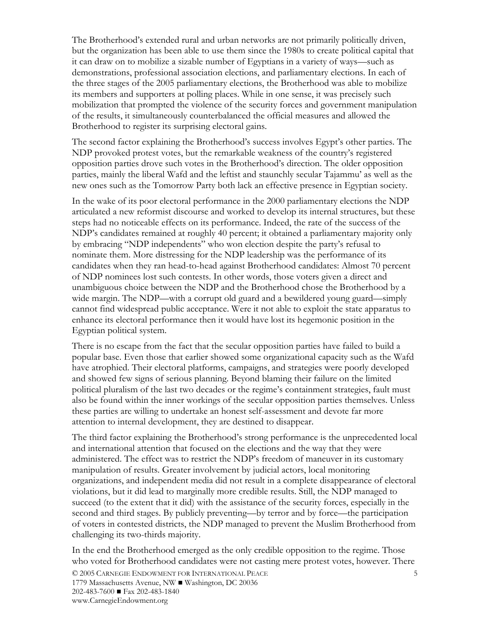The Brotherhood's extended rural and urban networks are not primarily politically driven, but the organization has been able to use them since the 1980s to create political capital that it can draw on to mobilize a sizable number of Egyptians in a variety of ways—such as demonstrations, professional association elections, and parliamentary elections. In each of the three stages of the 2005 parliamentary elections, the Brotherhood was able to mobilize its members and supporters at polling places. While in one sense, it was precisely such mobilization that prompted the violence of the security forces and government manipulation of the results, it simultaneously counterbalanced the official measures and allowed the Brotherhood to register its surprising electoral gains.

The second factor explaining the Brotherhood's success involves Egypt's other parties. The NDP provoked protest votes, but the remarkable weakness of the country's registered opposition parties drove such votes in the Brotherhood's direction. The older opposition parties, mainly the liberal Wafd and the leftist and staunchly secular Tajammu' as well as the new ones such as the Tomorrow Party both lack an effective presence in Egyptian society.

In the wake of its poor electoral performance in the 2000 parliamentary elections the NDP articulated a new reformist discourse and worked to develop its internal structures, but these steps had no noticeable effects on its performance. Indeed, the rate of the success of the NDP's candidates remained at roughly 40 percent; it obtained a parliamentary majority only by embracing "NDP independents" who won election despite the party's refusal to nominate them. More distressing for the NDP leadership was the performance of its candidates when they ran head-to-head against Brotherhood candidates: Almost 70 percent of NDP nominees lost such contests. In other words, those voters given a direct and unambiguous choice between the NDP and the Brotherhood chose the Brotherhood by a wide margin. The NDP—with a corrupt old guard and a bewildered young guard—simply cannot find widespread public acceptance. Were it not able to exploit the state apparatus to enhance its electoral performance then it would have lost its hegemonic position in the Egyptian political system.

There is no escape from the fact that the secular opposition parties have failed to build a popular base. Even those that earlier showed some organizational capacity such as the Wafd have atrophied. Their electoral platforms, campaigns, and strategies were poorly developed and showed few signs of serious planning. Beyond blaming their failure on the limited political pluralism of the last two decades or the regime's containment strategies, fault must also be found within the inner workings of the secular opposition parties themselves. Unless these parties are willing to undertake an honest self-assessment and devote far more attention to internal development, they are destined to disappear.

The third factor explaining the Brotherhood's strong performance is the unprecedented local and international attention that focused on the elections and the way that they were administered. The effect was to restrict the NDP's freedom of maneuver in its customary manipulation of results. Greater involvement by judicial actors, local monitoring organizations, and independent media did not result in a complete disappearance of electoral violations, but it did lead to marginally more credible results. Still, the NDP managed to succeed (to the extent that it did) with the assistance of the security forces, especially in the second and third stages. By publicly preventing—by terror and by force—the participation of voters in contested districts, the NDP managed to prevent the Muslim Brotherhood from challenging its two-thirds majority.

In the end the Brotherhood emerged as the only credible opposition to the regime. Those who voted for Brotherhood candidates were not casting mere protest votes, however. There

© 2005 CARNEGIE ENDOWMENT FOR INTERNATIONAL PEACE 1779 Massachusetts Avenue, NW ■ Washington, DC 20036 202-483-7600 ■ Fax 202-483-1840 www.CarnegieEndowment.org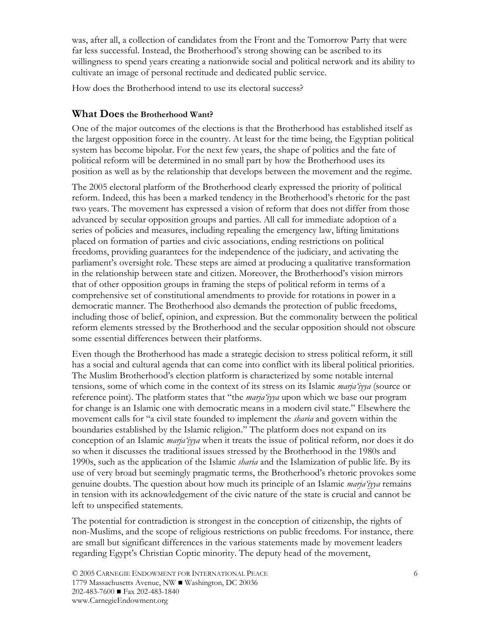was, after all, a collection of candidates from the Front and the Tomorrow Party that were far less successful. Instead, the Brotherhood's strong showing can be ascribed to its willingness to spend years creating a nationwide social and political network and its ability to cultivate an image of personal rectitude and dedicated public service.

How does the Brotherhood intend to use its electoral success?

### **What Does the Brotherhood Want?**

One of the major outcomes of the elections is that the Brotherhood has established itself as the largest opposition force in the country. At least for the time being, the Egyptian political system has become bipolar. For the next few years, the shape of politics and the fate of political reform will be determined in no small part by how the Brotherhood uses its position as well as by the relationship that develops between the movement and the regime.

The 2005 electoral platform of the Brotherhood clearly expressed the priority of political reform. Indeed, this has been a marked tendency in the Brotherhood's rhetoric for the past two years. The movement has expressed a vision of reform that does not differ from those advanced by secular opposition groups and parties. All call for immediate adoption of a series of policies and measures, including repealing the emergency law, lifting limitations placed on formation of parties and civic associations, ending restrictions on political freedoms, providing guarantees for the independence of the judiciary, and activating the parliament's oversight role. These steps are aimed at producing a qualitative transformation in the relationship between state and citizen. Moreover, the Brotherhood's vision mirrors that of other opposition groups in framing the steps of political reform in terms of a comprehensive set of constitutional amendments to provide for rotations in power in a democratic manner. The Brotherhood also demands the protection of public freedoms, including those of belief, opinion, and expression. But the commonality between the political reform elements stressed by the Brotherhood and the secular opposition should not obscure some essential differences between their platforms.

Even though the Brotherhood has made a strategic decision to stress political reform, it still has a social and cultural agenda that can come into conflict with its liberal political priorities. The Muslim Brotherhood's election platform is characterized by some notable internal tensions, some of which come in the context of its stress on its Islamic *marja'iyya* (source or reference point). The platform states that "the *marja'iyya* upon which we base our program for change is an Islamic one with democratic means in a modern civil state." Elsewhere the movement calls for "a civil state founded to implement the *sharia* and govern within the boundaries established by the Islamic religion." The platform does not expand on its conception of an Islamic *marja'iyya* when it treats the issue of political reform, nor does it do so when it discusses the traditional issues stressed by the Brotherhood in the 1980s and 1990s, such as the application of the Islamic *sharia* and the Islamization of public life. By its use of very broad but seemingly pragmatic terms, the Brotherhood's rhetoric provokes some genuine doubts. The question about how much its principle of an Islamic *marja'iyya* remains in tension with its acknowledgement of the civic nature of the state is crucial and cannot be left to unspecified statements.

The potential for contradiction is strongest in the conception of citizenship, the rights of non-Muslims, and the scope of religious restrictions on public freedoms. For instance, there are small but significant differences in the various statements made by movement leaders regarding Egypt's Christian Coptic minority. The deputy head of the movement,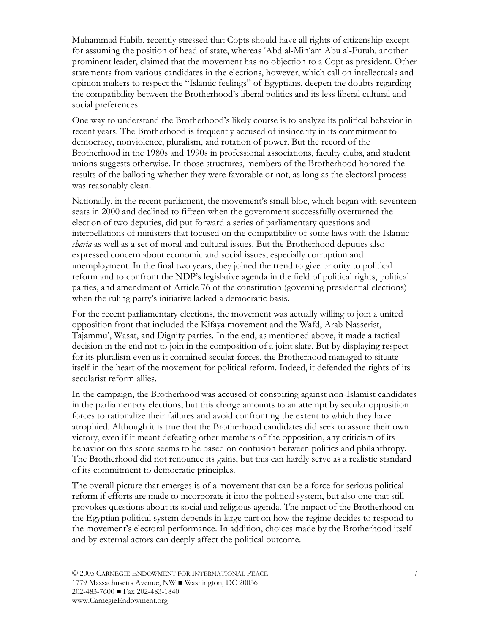Muhammad Habib, recently stressed that Copts should have all rights of citizenship except for assuming the position of head of state, whereas 'Abd al-Min'am Abu al-Futuh, another prominent leader, claimed that the movement has no objection to a Copt as president. Other statements from various candidates in the elections, however, which call on intellectuals and opinion makers to respect the "Islamic feelings" of Egyptians, deepen the doubts regarding the compatibility between the Brotherhood's liberal politics and its less liberal cultural and social preferences.

One way to understand the Brotherhood's likely course is to analyze its political behavior in recent years. The Brotherhood is frequently accused of insincerity in its commitment to democracy, nonviolence, pluralism, and rotation of power. But the record of the Brotherhood in the 1980s and 1990s in professional associations, faculty clubs, and student unions suggests otherwise. In those structures, members of the Brotherhood honored the results of the balloting whether they were favorable or not, as long as the electoral process was reasonably clean.

Nationally, in the recent parliament, the movement's small bloc, which began with seventeen seats in 2000 and declined to fifteen when the government successfully overturned the election of two deputies, did put forward a series of parliamentary questions and interpellations of ministers that focused on the compatibility of some laws with the Islamic *sharia* as well as a set of moral and cultural issues. But the Brotherhood deputies also expressed concern about economic and social issues, especially corruption and unemployment. In the final two years, they joined the trend to give priority to political reform and to confront the NDP's legislative agenda in the field of political rights, political parties, and amendment of Article 76 of the constitution (governing presidential elections) when the ruling party's initiative lacked a democratic basis.

For the recent parliamentary elections, the movement was actually willing to join a united opposition front that included the Kifaya movement and the Wafd, Arab Nasserist, Tajammu', Wasat, and Dignity parties. In the end, as mentioned above, it made a tactical decision in the end not to join in the composition of a joint slate. But by displaying respect for its pluralism even as it contained secular forces, the Brotherhood managed to situate itself in the heart of the movement for political reform. Indeed, it defended the rights of its secularist reform allies.

In the campaign, the Brotherhood was accused of conspiring against non-Islamist candidates in the parliamentary elections, but this charge amounts to an attempt by secular opposition forces to rationalize their failures and avoid confronting the extent to which they have atrophied. Although it is true that the Brotherhood candidates did seek to assure their own victory, even if it meant defeating other members of the opposition, any criticism of its behavior on this score seems to be based on confusion between politics and philanthropy. The Brotherhood did not renounce its gains, but this can hardly serve as a realistic standard of its commitment to democratic principles.

The overall picture that emerges is of a movement that can be a force for serious political reform if efforts are made to incorporate it into the political system, but also one that still provokes questions about its social and religious agenda. The impact of the Brotherhood on the Egyptian political system depends in large part on how the regime decides to respond to the movement's electoral performance. In addition, choices made by the Brotherhood itself and by external actors can deeply affect the political outcome.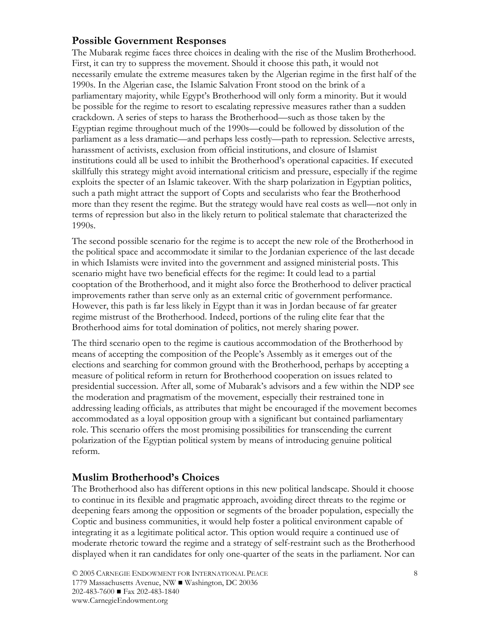## **Possible Government Responses**

The Mubarak regime faces three choices in dealing with the rise of the Muslim Brotherhood. First, it can try to suppress the movement. Should it choose this path, it would not necessarily emulate the extreme measures taken by the Algerian regime in the first half of the 1990s. In the Algerian case, the Islamic Salvation Front stood on the brink of a parliamentary majority, while Egypt's Brotherhood will only form a minority. But it would be possible for the regime to resort to escalating repressive measures rather than a sudden crackdown. A series of steps to harass the Brotherhood—such as those taken by the Egyptian regime throughout much of the 1990s—could be followed by dissolution of the parliament as a less dramatic—and perhaps less costly—path to repression. Selective arrests, harassment of activists, exclusion from official institutions, and closure of Islamist institutions could all be used to inhibit the Brotherhood's operational capacities. If executed skillfully this strategy might avoid international criticism and pressure, especially if the regime exploits the specter of an Islamic takeover. With the sharp polarization in Egyptian politics, such a path might attract the support of Copts and secularists who fear the Brotherhood more than they resent the regime. But the strategy would have real costs as well—not only in terms of repression but also in the likely return to political stalemate that characterized the 1990s.

The second possible scenario for the regime is to accept the new role of the Brotherhood in the political space and accommodate it similar to the Jordanian experience of the last decade in which Islamists were invited into the government and assigned ministerial posts. This scenario might have two beneficial effects for the regime: It could lead to a partial cooptation of the Brotherhood, and it might also force the Brotherhood to deliver practical improvements rather than serve only as an external critic of government performance. However, this path is far less likely in Egypt than it was in Jordan because of far greater regime mistrust of the Brotherhood. Indeed, portions of the ruling elite fear that the Brotherhood aims for total domination of politics, not merely sharing power.

The third scenario open to the regime is cautious accommodation of the Brotherhood by means of accepting the composition of the People's Assembly as it emerges out of the elections and searching for common ground with the Brotherhood, perhaps by accepting a measure of political reform in return for Brotherhood cooperation on issues related to presidential succession. After all, some of Mubarak's advisors and a few within the NDP see the moderation and pragmatism of the movement, especially their restrained tone in addressing leading officials, as attributes that might be encouraged if the movement becomes accommodated as a loyal opposition group with a significant but contained parliamentary role. This scenario offers the most promising possibilities for transcending the current polarization of the Egyptian political system by means of introducing genuine political reform.

## **Muslim Brotherhood's Choices**

The Brotherhood also has different options in this new political landscape. Should it choose to continue in its flexible and pragmatic approach, avoiding direct threats to the regime or deepening fears among the opposition or segments of the broader population, especially the Coptic and business communities, it would help foster a political environment capable of integrating it as a legitimate political actor. This option would require a continued use of moderate rhetoric toward the regime and a strategy of self-restraint such as the Brotherhood displayed when it ran candidates for only one-quarter of the seats in the parliament. Nor can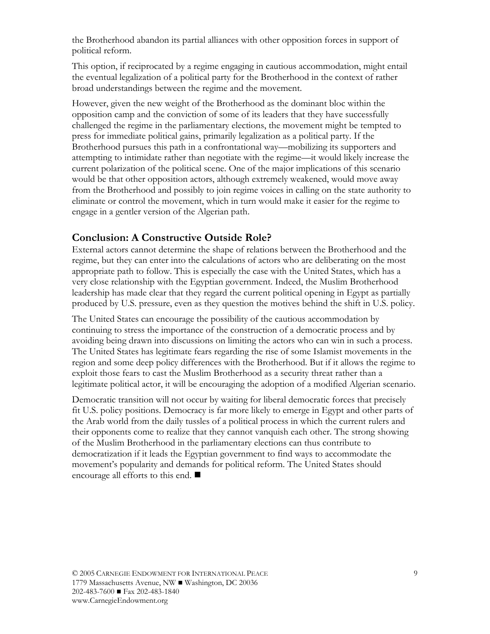the Brotherhood abandon its partial alliances with other opposition forces in support of political reform.

This option, if reciprocated by a regime engaging in cautious accommodation, might entail the eventual legalization of a political party for the Brotherhood in the context of rather broad understandings between the regime and the movement.

However, given the new weight of the Brotherhood as the dominant bloc within the opposition camp and the conviction of some of its leaders that they have successfully challenged the regime in the parliamentary elections, the movement might be tempted to press for immediate political gains, primarily legalization as a political party. If the Brotherhood pursues this path in a confrontational way—mobilizing its supporters and attempting to intimidate rather than negotiate with the regime—it would likely increase the current polarization of the political scene. One of the major implications of this scenario would be that other opposition actors, although extremely weakened, would move away from the Brotherhood and possibly to join regime voices in calling on the state authority to eliminate or control the movement, which in turn would make it easier for the regime to engage in a gentler version of the Algerian path.

## **Conclusion: A Constructive Outside Role?**

External actors cannot determine the shape of relations between the Brotherhood and the regime, but they can enter into the calculations of actors who are deliberating on the most appropriate path to follow. This is especially the case with the United States, which has a very close relationship with the Egyptian government. Indeed, the Muslim Brotherhood leadership has made clear that they regard the current political opening in Egypt as partially produced by U.S. pressure, even as they question the motives behind the shift in U.S. policy.

The United States can encourage the possibility of the cautious accommodation by continuing to stress the importance of the construction of a democratic process and by avoiding being drawn into discussions on limiting the actors who can win in such a process. The United States has legitimate fears regarding the rise of some Islamist movements in the region and some deep policy differences with the Brotherhood. But if it allows the regime to exploit those fears to cast the Muslim Brotherhood as a security threat rather than a legitimate political actor, it will be encouraging the adoption of a modified Algerian scenario.

Democratic transition will not occur by waiting for liberal democratic forces that precisely fit U.S. policy positions. Democracy is far more likely to emerge in Egypt and other parts of the Arab world from the daily tussles of a political process in which the current rulers and their opponents come to realize that they cannot vanquish each other. The strong showing of the Muslim Brotherhood in the parliamentary elections can thus contribute to democratization if it leads the Egyptian government to find ways to accommodate the movement's popularity and demands for political reform. The United States should encourage all efforts to this end.